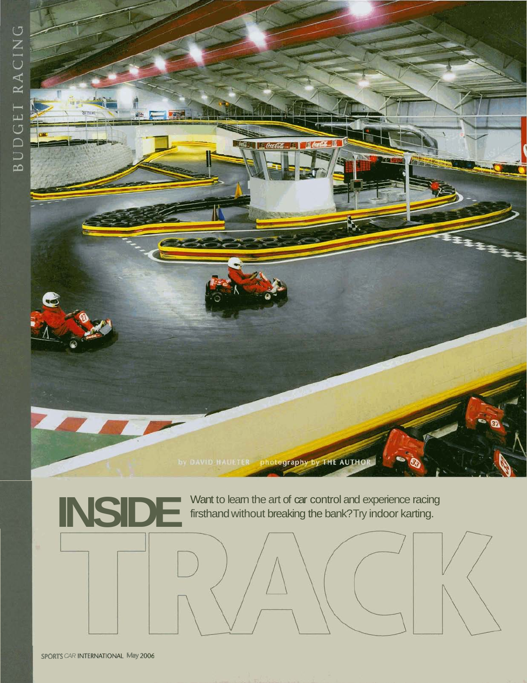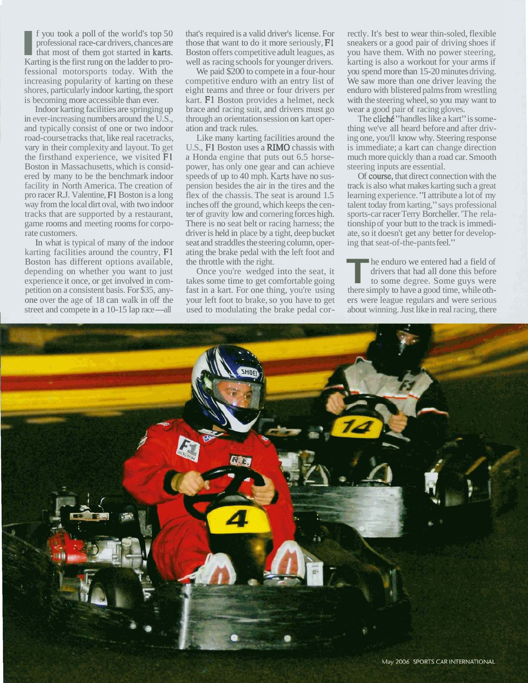**I I** you took a poll of the world's top 50 professional race-car drivers, chances are that most of them got started in **karts**. Karting is the first rung on the ladder to proprofessional race-car drivers, chances are that most of them got started in karts. fessional motorsports today. With the increasing popularity of karting on these shores, particularly indoor karting, the sport is becoming more accessible than ever.

Indoor karting facilities are springing up in ever-increasing numbers around the U.S., and typically consist of one or two indoor road-course tracks that, like real racetracks, vary in their complexity and layout. To get the firsthand experience, we visited F1 Boston in Massachusetts, which is considered by many to be the benchmark indoor facility in North America. The creation of pro racer R.J. Valentine, F1 Boston is a long way from the local dirt oval, with two indoor tracks that are supported by a restaurant, game rooms and meeting rooms for corporate customers.

In what is typical of many of the indoor karting facilities around the country, F1 Boston has different options available, depending on whether you want to just experience it once, or get involved in competition on a consistent basis. For \$35, any-<br>petition on a consistent basis. For \$35, any-<br>one over the age of 18 can walk in off the<br>street and compete in a 10-15 lap race—all one over the age of 18 can walk in off the street and compete in a 10-15 lap race—all

that's required is a valid driver's license. For those that want to do it more seriously, F1 Boston offers competitive adult leagues, as well as racing schools for younger drivers.

We paid \$200 to compete in a four-hour competitive enduro with an entry list of eight teams and three or four drivers per kart. F1 Boston provides a helmet, neck brace and racing suit, and drivers must go through an orientation session on kart operation and track rules.

Like many karting facilities around the U.S., F1 Boston uses a RIMO chassis with a Honda engine that puts out 6.5 horsepower, has only one gear and can achieve speeds of up to 40 mph. **Karts** have no suspension besides the air in the tires and the flex of the chassis. The seat is around 1.5 inches off the ground, which keeps the center of gravity low and cornering forces high. There is no seat belt or racing harness; the driver is held in place by a tight, deep bucket seat and straddles the steering column, operating the brake pedal with the left foot and the throttle with the right.

Once you're wedged into the seat, it takes some time to get comfortable going fast in a kart. For one thing, you're using your left foot to brake, so you have to get used to modulating the brake pedal cor-

rectly. It's best to wear thin-soled, flexible sneakers or a good pair of driving shoes if you have them. With no power steering, karting is also a workout for your arms if you spend more than 15-20 minutes driving. We saw more than one driver leaving the enduro with blistered palms from wrestling with the steering wheel, so you may want to wear a good pair of racing gloves.

The cliche "handles like a kart" is something we've all heard before and after driving one, you'll know why. Steering response is immediate; a kart can change direction much more quickly than a road car. Smooth steering inputs are essential.

Of course, that direct connection with the track is also what makes karting such a great learning experience. "I attribute a lot of my talent today from karting," says professional sports-car racer Terry Borcheller. 'The relationship of your butt to the track is immediate, so it doesn't get any better for developing that seat-of-the-pants feel."

**T T** he enduro we entered had a field of drivers that had all done this before to some degree. Some guys were there simply to have a good time, while othdrivers that had all done this before there simply to have a good time, while others were league regulars and were serious about winning. Just like in real racing, there